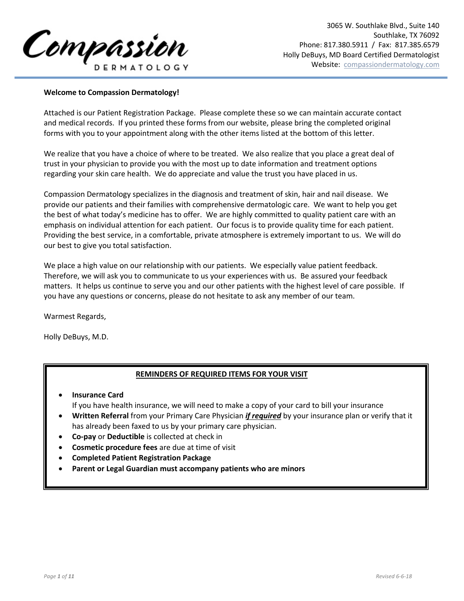

## **Welcome to Compassion Dermatology!**

Attached is our Patient Registration Package. Please complete these so we can maintain accurate contact and medical records. If you printed these forms from our website, please bring the completed original forms with you to your appointment along with the other items listed at the bottom of this letter.

We realize that you have a choice of where to be treated. We also realize that you place a great deal of trust in your physician to provide you with the most up to date information and treatment options regarding your skin care health. We do appreciate and value the trust you have placed in us.

Compassion Dermatology specializes in the diagnosis and treatment of skin, hair and nail disease. We provide our patients and their families with comprehensive dermatologic care. We want to help you get the best of what today's medicine has to offer. We are highly committed to quality patient care with an emphasis on individual attention for each patient. Our focus is to provide quality time for each patient. Providing the best service, in a comfortable, private atmosphere is extremely important to us. We will do our best to give you total satisfaction.

We place a high value on our relationship with our patients. We especially value patient feedback. Therefore, we will ask you to communicate to us your experiences with us. Be assured your feedback matters. It helps us continue to serve you and our other patients with the highest level of care possible. If you have any questions or concerns, please do not hesitate to ask any member of our team.

Warmest Regards,

Holly DeBuys, M.D.

# **REMINDERS OF REQUIRED ITEMS FOR YOUR VISIT**

- **Insurance Card**  If you have health insurance, we will need to make a copy of your card to bill your insurance
- **Written Referral** from your Primary Care Physician *if required* by your insurance plan or verify that it has already been faxed to us by your primary care physician.
- **Co-pay** or **Deductible** is collected at check in
- **Cosmetic procedure fees** are due at time of visit
- **Completed Patient Registration Package**
- **Parent or Legal Guardian must accompany patients who are minors**

•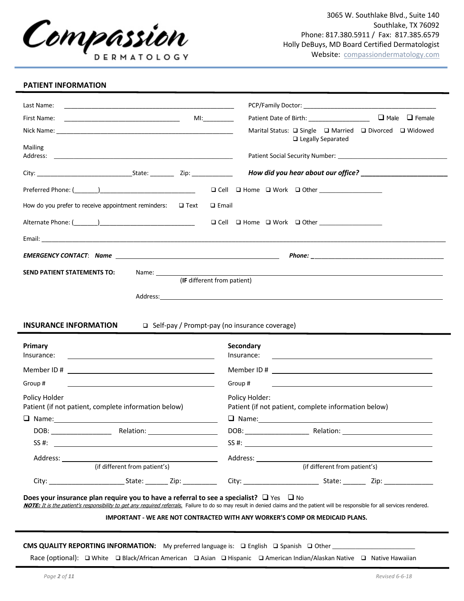

3065 W. Southlake Blvd., Suite 140 Southlake, TX 76092 Phone: 817.380.5911 / Fax: 817.385.6579 Holly DeBuys, MD Board Certified Dermatologist Website: compassiondermatology.com

# **PATIENT INFORMATION**

| Last Name:                                                                                                                                                                                                                                                                                      |                                                 |              |                                                              |  | PCP/Family Doctor: The contract of the contract of the contract of the contract of the contract of the contract of the contract of the contract of the contract of the contract of the contract of the contract of the contrac                                                                        |                                                               |
|-------------------------------------------------------------------------------------------------------------------------------------------------------------------------------------------------------------------------------------------------------------------------------------------------|-------------------------------------------------|--------------|--------------------------------------------------------------|--|-------------------------------------------------------------------------------------------------------------------------------------------------------------------------------------------------------------------------------------------------------------------------------------------------------|---------------------------------------------------------------|
| First Name:                                                                                                                                                                                                                                                                                     | MI:____________                                 |              | Patient Date of Birth: _____________________ □ Male □ Female |  |                                                                                                                                                                                                                                                                                                       |                                                               |
|                                                                                                                                                                                                                                                                                                 |                                                 |              |                                                              |  |                                                                                                                                                                                                                                                                                                       | Marital Status: □ Single □ Married □ Divorced □ Widowed       |
| Mailing                                                                                                                                                                                                                                                                                         |                                                 |              |                                                              |  | □ Legally Separated                                                                                                                                                                                                                                                                                   |                                                               |
|                                                                                                                                                                                                                                                                                                 |                                                 |              |                                                              |  |                                                                                                                                                                                                                                                                                                       | How did you hear about our office?                            |
|                                                                                                                                                                                                                                                                                                 |                                                 |              |                                                              |  |                                                                                                                                                                                                                                                                                                       |                                                               |
| How do you prefer to receive appointment reminders: $\Box$ Text                                                                                                                                                                                                                                 |                                                 | $\Box$ Email |                                                              |  |                                                                                                                                                                                                                                                                                                       |                                                               |
|                                                                                                                                                                                                                                                                                                 |                                                 |              |                                                              |  |                                                                                                                                                                                                                                                                                                       |                                                               |
|                                                                                                                                                                                                                                                                                                 |                                                 |              |                                                              |  |                                                                                                                                                                                                                                                                                                       |                                                               |
|                                                                                                                                                                                                                                                                                                 |                                                 |              |                                                              |  |                                                                                                                                                                                                                                                                                                       |                                                               |
| <b>SEND PATIENT STATEMENTS TO:</b><br>Name: 1997                                                                                                                                                                                                                                                |                                                 |              |                                                              |  |                                                                                                                                                                                                                                                                                                       |                                                               |
|                                                                                                                                                                                                                                                                                                 | (IF different from patient)                     |              |                                                              |  |                                                                                                                                                                                                                                                                                                       |                                                               |
|                                                                                                                                                                                                                                                                                                 |                                                 |              |                                                              |  |                                                                                                                                                                                                                                                                                                       |                                                               |
|                                                                                                                                                                                                                                                                                                 |                                                 |              |                                                              |  |                                                                                                                                                                                                                                                                                                       |                                                               |
| <b>INSURANCE INFORMATION</b>                                                                                                                                                                                                                                                                    | □ Self-pay / Prompt-pay (no insurance coverage) |              |                                                              |  |                                                                                                                                                                                                                                                                                                       |                                                               |
| Primary<br>Insurance:                                                                                                                                                                                                                                                                           |                                                 |              | Secondary                                                    |  |                                                                                                                                                                                                                                                                                                       |                                                               |
|                                                                                                                                                                                                                                                                                                 |                                                 |              |                                                              |  |                                                                                                                                                                                                                                                                                                       |                                                               |
| Group #<br><u> 1989 - Johann Barn, mars ann an t-Amhain ann an t-Amhain an t-Amhain ann an t-Amhain an t-Amhain ann an t-Amh</u>                                                                                                                                                                |                                                 |              | Group #                                                      |  |                                                                                                                                                                                                                                                                                                       | <u> 1989 - Johann Stein, mars an deutscher Stein († 1989)</u> |
| Policy Holder<br>Patient (if not patient, complete information below)                                                                                                                                                                                                                           |                                                 |              | Policy Holder:                                               |  | Patient (if not patient, complete information below)                                                                                                                                                                                                                                                  |                                                               |
|                                                                                                                                                                                                                                                                                                 |                                                 |              |                                                              |  | $\Box$ Name:                                                                                                                                                                                                                                                                                          |                                                               |
| DOB: Relation: Relation:                                                                                                                                                                                                                                                                        |                                                 |              |                                                              |  |                                                                                                                                                                                                                                                                                                       |                                                               |
| SS #:                                                                                                                                                                                                                                                                                           |                                                 |              |                                                              |  | SS #: $\frac{1}{2}$ = $\frac{1}{2}$ = $\frac{1}{2}$ = $\frac{1}{2}$ = $\frac{1}{2}$ = $\frac{1}{2}$ = $\frac{1}{2}$ = $\frac{1}{2}$ = $\frac{1}{2}$ = $\frac{1}{2}$ = $\frac{1}{2}$ = $\frac{1}{2}$ = $\frac{1}{2}$ = $\frac{1}{2}$ = $\frac{1}{2}$ = $\frac{1}{2}$ = $\frac{1}{2}$ = $\frac{1}{2}$ = |                                                               |
| Address: __________<br>(if different from patient's)                                                                                                                                                                                                                                            |                                                 |              |                                                              |  | (if different from patient's)                                                                                                                                                                                                                                                                         |                                                               |
|                                                                                                                                                                                                                                                                                                 |                                                 |              |                                                              |  |                                                                                                                                                                                                                                                                                                       |                                                               |
|                                                                                                                                                                                                                                                                                                 |                                                 |              |                                                              |  |                                                                                                                                                                                                                                                                                                       |                                                               |
| <b>Does your insurance plan require you to have a referral to see a specialist?</b> $\Box$ Yes $\Box$ No<br>NOTE: It is the patient's responsibility to get any required referrals. Failure to do so may result in denied claims and the patient will be responsible for all services rendered. |                                                 |              |                                                              |  |                                                                                                                                                                                                                                                                                                       |                                                               |
|                                                                                                                                                                                                                                                                                                 |                                                 |              |                                                              |  | <b>IMPORTANT - WE ARE NOT CONTRACTED WITH ANY WORKER'S COMP OR MEDICAID PLANS.</b>                                                                                                                                                                                                                    |                                                               |
| Race (optional): □ White □ Black/African American □ Asian □ Hispanic □ American Indian/Alaskan Native □ Native Hawaiian                                                                                                                                                                         |                                                 |              |                                                              |  |                                                                                                                                                                                                                                                                                                       |                                                               |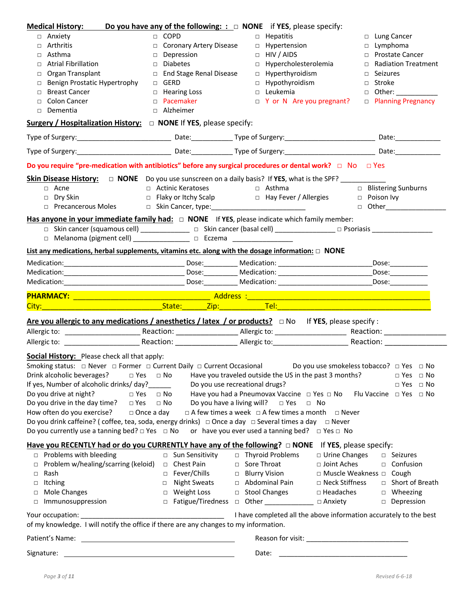| <b>Medical History:</b>                                                                                                                                                                                                                                                                                                                                                                                                                                                                                                                                                                                                                                                                                                                                                                                                                                                                                                                                                                                                                                                                 |                                                                                        | Do you have any of the following: $: \Box$ NONE if YES, please specify:                                                                                    |                                                                                                                                                                                                         |
|-----------------------------------------------------------------------------------------------------------------------------------------------------------------------------------------------------------------------------------------------------------------------------------------------------------------------------------------------------------------------------------------------------------------------------------------------------------------------------------------------------------------------------------------------------------------------------------------------------------------------------------------------------------------------------------------------------------------------------------------------------------------------------------------------------------------------------------------------------------------------------------------------------------------------------------------------------------------------------------------------------------------------------------------------------------------------------------------|----------------------------------------------------------------------------------------|------------------------------------------------------------------------------------------------------------------------------------------------------------|---------------------------------------------------------------------------------------------------------------------------------------------------------------------------------------------------------|
| $\Box$ Anxiety                                                                                                                                                                                                                                                                                                                                                                                                                                                                                                                                                                                                                                                                                                                                                                                                                                                                                                                                                                                                                                                                          | $\Box$ COPD                                                                            | $\Box$ Hepatitis                                                                                                                                           | □ Lung Cancer                                                                                                                                                                                           |
| Arthritis<br>$\Box$                                                                                                                                                                                                                                                                                                                                                                                                                                                                                                                                                                                                                                                                                                                                                                                                                                                                                                                                                                                                                                                                     | □ Coronary Artery Disease                                                              | $\Box$ Hypertension                                                                                                                                        | $\Box$ Lymphoma                                                                                                                                                                                         |
| Asthma<br>$\Box$                                                                                                                                                                                                                                                                                                                                                                                                                                                                                                                                                                                                                                                                                                                                                                                                                                                                                                                                                                                                                                                                        | $\Box$ Depression                                                                      | $\Box$ HIV / AIDS                                                                                                                                          | □ Prostate Cancer                                                                                                                                                                                       |
| <b>Atrial Fibrillation</b><br>$\Box$                                                                                                                                                                                                                                                                                                                                                                                                                                                                                                                                                                                                                                                                                                                                                                                                                                                                                                                                                                                                                                                    | <b>Diabetes</b><br>$\Box$                                                              | □ Hypercholesterolemia                                                                                                                                     | □ Radiation Treatment                                                                                                                                                                                   |
| Organ Transplant<br>$\Box$                                                                                                                                                                                                                                                                                                                                                                                                                                                                                                                                                                                                                                                                                                                                                                                                                                                                                                                                                                                                                                                              | <b>End Stage Renal Disease</b><br>$\Box$                                               | □ Hyperthyroidism                                                                                                                                          | $\Box$ Seizures                                                                                                                                                                                         |
| Benign Prostatic Hypertrophy<br>$\Box$                                                                                                                                                                                                                                                                                                                                                                                                                                                                                                                                                                                                                                                                                                                                                                                                                                                                                                                                                                                                                                                  | □ GERD                                                                                 | □ Hypothyroidism                                                                                                                                           | □ Stroke                                                                                                                                                                                                |
| <b>Breast Cancer</b><br>$\Box$                                                                                                                                                                                                                                                                                                                                                                                                                                                                                                                                                                                                                                                                                                                                                                                                                                                                                                                                                                                                                                                          | $\Box$ Hearing Loss                                                                    | □ Leukemia                                                                                                                                                 |                                                                                                                                                                                                         |
| Colon Cancer<br>$\Box$<br>□ Dementia                                                                                                                                                                                                                                                                                                                                                                                                                                                                                                                                                                                                                                                                                                                                                                                                                                                                                                                                                                                                                                                    | D Pacemaker<br>□ Alzheimer                                                             | □ Y or N Are you pregnant?                                                                                                                                 | <b>D</b> Planning Pregnancy                                                                                                                                                                             |
| Surgery / Hospitalization History: $\Box$ NONE If YES, please specify:                                                                                                                                                                                                                                                                                                                                                                                                                                                                                                                                                                                                                                                                                                                                                                                                                                                                                                                                                                                                                  |                                                                                        |                                                                                                                                                            |                                                                                                                                                                                                         |
|                                                                                                                                                                                                                                                                                                                                                                                                                                                                                                                                                                                                                                                                                                                                                                                                                                                                                                                                                                                                                                                                                         |                                                                                        |                                                                                                                                                            |                                                                                                                                                                                                         |
|                                                                                                                                                                                                                                                                                                                                                                                                                                                                                                                                                                                                                                                                                                                                                                                                                                                                                                                                                                                                                                                                                         |                                                                                        |                                                                                                                                                            |                                                                                                                                                                                                         |
| Do you require "pre-medication with antibiotics" before any surgical procedures or dental work? $\Box$ No $\Box$ Yes                                                                                                                                                                                                                                                                                                                                                                                                                                                                                                                                                                                                                                                                                                                                                                                                                                                                                                                                                                    |                                                                                        |                                                                                                                                                            |                                                                                                                                                                                                         |
| <b>Skin Disease History:</b> $\Box$ <b>NONE</b> Do you use sunscreen on a daily basis? If <b>YES</b> , what is the SPF?                                                                                                                                                                                                                                                                                                                                                                                                                                                                                                                                                                                                                                                                                                                                                                                                                                                                                                                                                                 |                                                                                        |                                                                                                                                                            |                                                                                                                                                                                                         |
| $\Box$ Acne                                                                                                                                                                                                                                                                                                                                                                                                                                                                                                                                                                                                                                                                                                                                                                                                                                                                                                                                                                                                                                                                             | □ Actinic Keratoses □ Asthma                                                           |                                                                                                                                                            | □ Blistering Sunburns                                                                                                                                                                                   |
| $\Box$ Dry Skin                                                                                                                                                                                                                                                                                                                                                                                                                                                                                                                                                                                                                                                                                                                                                                                                                                                                                                                                                                                                                                                                         |                                                                                        | □ Flaky or Itchy Scalp □ Hay Fever / Allergies                                                                                                             | $\Box$ Poison Ivy                                                                                                                                                                                       |
| □ Precancerous Moles                                                                                                                                                                                                                                                                                                                                                                                                                                                                                                                                                                                                                                                                                                                                                                                                                                                                                                                                                                                                                                                                    |                                                                                        |                                                                                                                                                            |                                                                                                                                                                                                         |
| Has anyone in your immediate family had: $\Box$ NONE If YES, please indicate which family member:                                                                                                                                                                                                                                                                                                                                                                                                                                                                                                                                                                                                                                                                                                                                                                                                                                                                                                                                                                                       |                                                                                        |                                                                                                                                                            |                                                                                                                                                                                                         |
|                                                                                                                                                                                                                                                                                                                                                                                                                                                                                                                                                                                                                                                                                                                                                                                                                                                                                                                                                                                                                                                                                         |                                                                                        | □ Skin cancer (squamous cell) _____________ □ Skin cancer (basal cell) _______________ □ Psoriasis ________________                                        |                                                                                                                                                                                                         |
| □ Melanoma (pigment cell) ___________________ □ Eczema ________________________                                                                                                                                                                                                                                                                                                                                                                                                                                                                                                                                                                                                                                                                                                                                                                                                                                                                                                                                                                                                         |                                                                                        |                                                                                                                                                            |                                                                                                                                                                                                         |
| List any medications, herbal supplements, vitamins etc. along with the dosage information: $\Box$ NONE                                                                                                                                                                                                                                                                                                                                                                                                                                                                                                                                                                                                                                                                                                                                                                                                                                                                                                                                                                                  |                                                                                        |                                                                                                                                                            |                                                                                                                                                                                                         |
|                                                                                                                                                                                                                                                                                                                                                                                                                                                                                                                                                                                                                                                                                                                                                                                                                                                                                                                                                                                                                                                                                         |                                                                                        |                                                                                                                                                            | Dose:___________                                                                                                                                                                                        |
|                                                                                                                                                                                                                                                                                                                                                                                                                                                                                                                                                                                                                                                                                                                                                                                                                                                                                                                                                                                                                                                                                         |                                                                                        |                                                                                                                                                            | Dose:                                                                                                                                                                                                   |
|                                                                                                                                                                                                                                                                                                                                                                                                                                                                                                                                                                                                                                                                                                                                                                                                                                                                                                                                                                                                                                                                                         |                                                                                        |                                                                                                                                                            | Dose:                                                                                                                                                                                                   |
|                                                                                                                                                                                                                                                                                                                                                                                                                                                                                                                                                                                                                                                                                                                                                                                                                                                                                                                                                                                                                                                                                         |                                                                                        |                                                                                                                                                            |                                                                                                                                                                                                         |
| City: City: City: City: City: City: City: City: City: City: City: City: City: City: City: City: City: City: City: City: City: City: City: City: City: City: City: City: City: City: City: City: City: City: City: City: City:                                                                                                                                                                                                                                                                                                                                                                                                                                                                                                                                                                                                                                                                                                                                                                                                                                                           |                                                                                        |                                                                                                                                                            |                                                                                                                                                                                                         |
|                                                                                                                                                                                                                                                                                                                                                                                                                                                                                                                                                                                                                                                                                                                                                                                                                                                                                                                                                                                                                                                                                         |                                                                                        |                                                                                                                                                            |                                                                                                                                                                                                         |
| Are you allergic to any medications / anesthetics / latex / or products? $\Box$ No If YES, please specify :                                                                                                                                                                                                                                                                                                                                                                                                                                                                                                                                                                                                                                                                                                                                                                                                                                                                                                                                                                             |                                                                                        |                                                                                                                                                            |                                                                                                                                                                                                         |
|                                                                                                                                                                                                                                                                                                                                                                                                                                                                                                                                                                                                                                                                                                                                                                                                                                                                                                                                                                                                                                                                                         |                                                                                        |                                                                                                                                                            |                                                                                                                                                                                                         |
|                                                                                                                                                                                                                                                                                                                                                                                                                                                                                                                                                                                                                                                                                                                                                                                                                                                                                                                                                                                                                                                                                         |                                                                                        |                                                                                                                                                            |                                                                                                                                                                                                         |
| Social History: Please check all that apply:<br>Smoking status: $\Box$ Never $\Box$ Former $\Box$ Current Daily $\Box$ Current Occasional<br>Do you use smokeless tobacco? $\Box$ Yes $\Box$ No<br>Drink alcoholic beverages?<br>Have you traveled outside the US in the past 3 months?<br>$\Box$ Yes<br>$\Box$ No<br>$\Box$ Yes $\Box$ No<br>If yes, Number of alcoholic drinks/ day?______<br>Do you use recreational drugs?<br>$\Box$ Yes $\Box$ No<br>Do you drive at night?<br>Have you had a Pneumovax Vaccine $\Box$ Yes $\Box$ No Flu Vaccine $\Box$ Yes $\Box$ No<br>$\Box$ Yes<br>$\Box$ No<br>Do you drive in the day time?<br>Do you have a living will? $\Box$ Yes $\Box$ No<br>$\Box$ Yes<br>$\Box$ No<br>How often do you exercise?<br>$\Box$ A few times a week $\Box$ A few times a month<br>$\Box$ Once a day<br>□ Never<br>Do you drink caffeine? (coffee, tea, soda, energy drinks) $\Box$ Once a day $\Box$ Several times a day $\Box$ Never<br>Do you currently use a tanning bed? $\Box$ Yes $\Box$ No or have you ever used a tanning bed? $\Box$ Yes $\Box$ No |                                                                                        |                                                                                                                                                            |                                                                                                                                                                                                         |
|                                                                                                                                                                                                                                                                                                                                                                                                                                                                                                                                                                                                                                                                                                                                                                                                                                                                                                                                                                                                                                                                                         |                                                                                        |                                                                                                                                                            |                                                                                                                                                                                                         |
| Have you RECENTLY had or do you CURRENTLY have any of the following? $\Box$ NONE If YES, please specify:<br>$\Box$ Problems with bleeding<br>Problem w/healing/scarring (keloid)<br>Rash<br>$\Box$<br>Itching<br>$\Box$<br>Mole Changes<br>$\Box$<br>Immunosuppression                                                                                                                                                                                                                                                                                                                                                                                                                                                                                                                                                                                                                                                                                                                                                                                                                  | □ Sun Sensitivity<br>□ Chest Pain<br>□ Fever/Chills<br>□ Night Sweats<br>□ Weight Loss | $\Box$ Thyroid Problems<br>□ Sore Throat<br>□ Blurry Vision<br>□ Abdominal Pain<br>□ Stool Changes<br>□ Fatigue/Tiredness □ Other ______________ □ Anxiety | $\Box$ Urine Changes<br>$\Box$ Seizures<br>□ Joint Aches<br>$\Box$ Confusion<br>□ Muscle Weakness □ Cough<br>□ Neck Stiffness<br>□ Short of Breath<br>$\Box$ Headaches<br>$\Box$ Wheezing<br>Depression |
| I have completed all the above information accurately to the best<br>of my knowledge. I will notify the office if there are any changes to my information.                                                                                                                                                                                                                                                                                                                                                                                                                                                                                                                                                                                                                                                                                                                                                                                                                                                                                                                              |                                                                                        |                                                                                                                                                            |                                                                                                                                                                                                         |
|                                                                                                                                                                                                                                                                                                                                                                                                                                                                                                                                                                                                                                                                                                                                                                                                                                                                                                                                                                                                                                                                                         |                                                                                        |                                                                                                                                                            |                                                                                                                                                                                                         |
|                                                                                                                                                                                                                                                                                                                                                                                                                                                                                                                                                                                                                                                                                                                                                                                                                                                                                                                                                                                                                                                                                         |                                                                                        | Date:                                                                                                                                                      |                                                                                                                                                                                                         |
|                                                                                                                                                                                                                                                                                                                                                                                                                                                                                                                                                                                                                                                                                                                                                                                                                                                                                                                                                                                                                                                                                         |                                                                                        |                                                                                                                                                            |                                                                                                                                                                                                         |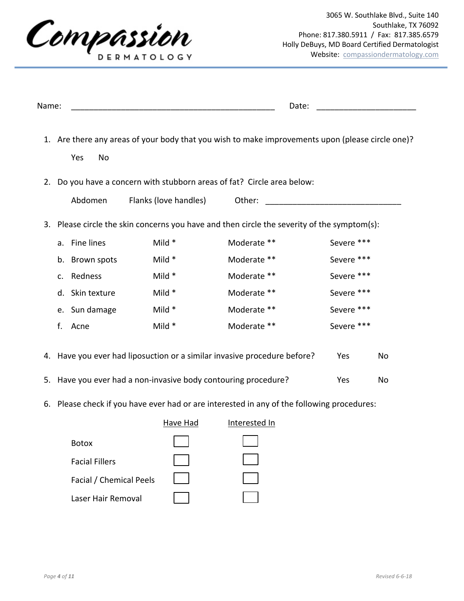

| Name: |                         |                                                             | Date:                                                                                            |            |  |
|-------|-------------------------|-------------------------------------------------------------|--------------------------------------------------------------------------------------------------|------------|--|
|       | Yes<br>No               |                                                             | 1. Are there any areas of your body that you wish to make improvements upon (please circle one)? |            |  |
|       |                         |                                                             | 2. Do you have a concern with stubborn areas of fat? Circle area below:                          |            |  |
|       | Abdomen                 | Flanks (love handles)                                       | Other:                                                                                           |            |  |
|       |                         |                                                             | 3. Please circle the skin concerns you have and then circle the severity of the symptom(s):      |            |  |
|       | Fine lines<br>a.        | Mild *                                                      | Moderate **                                                                                      | Severe *** |  |
|       | Brown spots<br>b.       | Mild *                                                      | Moderate **                                                                                      | Severe *** |  |
|       | Redness<br>c.           | Mild *                                                      | Moderate **                                                                                      | Severe *** |  |
|       | Skin texture<br>d.      | Mild *                                                      | Moderate **                                                                                      | Severe *** |  |
|       | e. Sun damage           | Mild *                                                      | Moderate **                                                                                      | Severe *** |  |
|       | f.<br>Acne              | Mild *                                                      | Moderate **                                                                                      | Severe *** |  |
|       |                         |                                                             | 4. Have you ever had liposuction or a similar invasive procedure before?                         | Yes<br>No  |  |
| 5.    |                         | Have you ever had a non-invasive body contouring procedure? |                                                                                                  | Yes<br>No  |  |
|       |                         |                                                             | 6. Please check if you have ever had or are interested in any of the following procedures:       |            |  |
|       |                         | Have Had                                                    | Interested In                                                                                    |            |  |
|       | <b>Botox</b>            |                                                             |                                                                                                  |            |  |
|       | <b>Facial Fillers</b>   |                                                             |                                                                                                  |            |  |
|       | Facial / Chemical Peels |                                                             |                                                                                                  |            |  |
|       | Laser Hair Removal      |                                                             |                                                                                                  |            |  |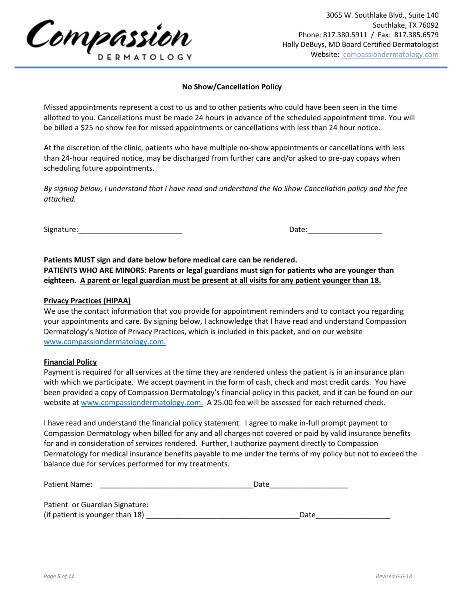

# **No Show/Cancellation Policy**

Missed appointments represent a cost to us and to other patients who could have been seen in the time allotted to you. Cancellations must be made 24 hours in advance of the scheduled appointment time. You will be billed a \$25 no show fee for missed appointments or cancellations with less than 24 hour notice.

At the discretion of the clinic, patients who have multiple no-show appointments or cancellations with less than 24-hour required notice, may be discharged from further care and/or asked to pre-pay copays when scheduling future appointments.

*By signing below, I understand that I have read and understand the No Show Cancellation policy and the fee attached.*

Signature:\_\_\_\_\_\_\_\_\_\_\_\_\_\_\_\_\_\_\_\_\_\_\_\_\_ Date:\_\_\_\_\_\_\_\_\_\_\_\_\_\_\_\_\_\_

**Patients MUST sign and date below before medical care can be rendered. PATIENTS WHO ARE MINORS: Parents or legal guardians must sign for patients who are younger than eighteen. A parent or legal guardian must be present at all visits for any patient younger than 18.**

## **Privacy Practices (HIPAA)**

We use the contact information that you provide for appointment reminders and to contact you regarding your appointments and care. By signing below, I acknowledge that I have read and understand Compassion Dermatology's Notice of Privacy Practices, which is included in this packet, and on our website www.compassiondermatology.com.

## **Financial Policy**

Payment is required for all services at the time they are rendered unless the patient is in an insurance plan with which we participate. We accept payment in the form of cash, check and most credit cards. You have been provided a copy of Compassion Dermatology's financial policy in this packet, and it can be found on our website at www.compassiondermatology.com. A 25.00 fee will be assessed for each returned check.

I have read and understand the financial policy statement. I agree to make in-full prompt payment to Compassion Dermatology when billed for any and all charges not covered or paid by valid insurance benefits for and in consideration of services rendered. Further, I authorize payment directly to Compassion Dermatology for medical insurance benefits payable to me under the terms of my policy but not to exceed the balance due for services performed for my treatments.

| <b>Patient Name:</b> |  |
|----------------------|--|
|                      |  |

Patient or Guardian Signature: (if patient is younger than 18) and the state of the state of the state of the state of the state of the state of the state of the state of the state of the state of the state of the state of the state of the state of the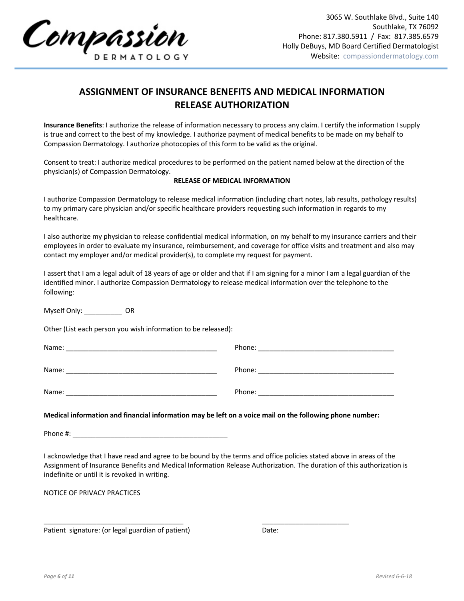

# **ASSIGNMENT OF INSURANCE BENEFITS AND MEDICAL INFORMATION RELEASE AUTHORIZATION**

**Insurance Benefits**: I authorize the release of information necessary to process any claim. I certify the information I supply is true and correct to the best of my knowledge. I authorize payment of medical benefits to be made on my behalf to Compassion Dermatology. I authorize photocopies of this form to be valid as the original.

Consent to treat: I authorize medical procedures to be performed on the patient named below at the direction of the physician(s) of Compassion Dermatology.

#### **RELEASE OF MEDICAL INFORMATION**

I authorize Compassion Dermatology to release medical information (including chart notes, lab results, pathology results) to my primary care physician and/or specific healthcare providers requesting such information in regards to my healthcare.

I also authorize my physician to release confidential medical information, on my behalf to my insurance carriers and their employees in order to evaluate my insurance, reimbursement, and coverage for office visits and treatment and also may contact my employer and/or medical provider(s), to complete my request for payment.

I assert that I am a legal adult of 18 years of age or older and that if I am signing for a minor I am a legal guardian of the identified minor. I authorize Compassion Dermatology to release medical information over the telephone to the following:

Myself Only: \_\_\_\_\_\_\_\_\_\_ OR

Other (List each person you wish information to be released):

| Name: | Phone: |
|-------|--------|
|       |        |
| Name: | Phone: |
|       |        |
| Name: | Phone: |
|       |        |

**Medical information and financial information may be left on a voice mail on the following phone number:**

 $\frac{1}{2}$  ,  $\frac{1}{2}$  ,  $\frac{1}{2}$  ,  $\frac{1}{2}$  ,  $\frac{1}{2}$  ,  $\frac{1}{2}$  ,  $\frac{1}{2}$  ,  $\frac{1}{2}$  ,  $\frac{1}{2}$  ,  $\frac{1}{2}$  ,  $\frac{1}{2}$  ,  $\frac{1}{2}$  ,  $\frac{1}{2}$  ,  $\frac{1}{2}$  ,  $\frac{1}{2}$  ,  $\frac{1}{2}$  ,  $\frac{1}{2}$  ,  $\frac{1}{2}$  ,  $\frac{1$ 

Phone #: \_\_\_\_\_\_\_\_\_\_\_\_\_\_\_\_\_\_\_\_\_\_\_\_\_\_\_\_\_\_\_\_\_\_\_\_\_\_\_\_\_

I acknowledge that I have read and agree to be bound by the terms and office policies stated above in areas of the Assignment of Insurance Benefits and Medical Information Release Authorization. The duration of this authorization is indefinite or until it is revoked in writing.

NOTICE OF PRIVACY PRACTICES

Patient signature: (or legal guardian of patient) Date: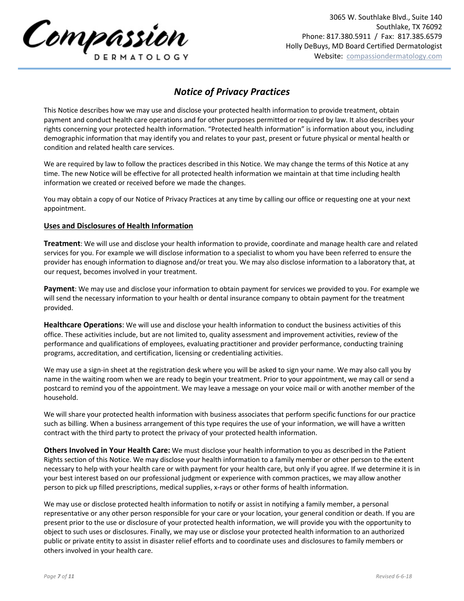

# *Notice of Privacy Practices*

This Notice describes how we may use and disclose your protected health information to provide treatment, obtain payment and conduct health care operations and for other purposes permitted or required by law. It also describes your rights concerning your protected health information. "Protected health information" is information about you, including demographic information that may identify you and relates to your past, present or future physical or mental health or condition and related health care services.

We are required by law to follow the practices described in this Notice. We may change the terms of this Notice at any time. The new Notice will be effective for all protected health information we maintain at that time including health information we created or received before we made the changes.

You may obtain a copy of our Notice of Privacy Practices at any time by calling our office or requesting one at your next appointment.

## **Uses and Disclosures of Health Information**

**Treatment**: We will use and disclose your health information to provide, coordinate and manage health care and related services for you. For example we will disclose information to a specialist to whom you have been referred to ensure the provider has enough information to diagnose and/or treat you. We may also disclose information to a laboratory that, at our request, becomes involved in your treatment.

**Payment**: We may use and disclose your information to obtain payment for services we provided to you. For example we will send the necessary information to your health or dental insurance company to obtain payment for the treatment provided.

**Healthcare Operations**: We will use and disclose your health information to conduct the business activities of this office. These activities include, but are not limited to, quality assessment and improvement activities, review of the performance and qualifications of employees, evaluating practitioner and provider performance, conducting training programs, accreditation, and certification, licensing or credentialing activities.

We may use a sign-in sheet at the registration desk where you will be asked to sign your name. We may also call you by name in the waiting room when we are ready to begin your treatment. Prior to your appointment, we may call or send a postcard to remind you of the appointment. We may leave a message on your voice mail or with another member of the household.

We will share your protected health information with business associates that perform specific functions for our practice such as billing. When a business arrangement of this type requires the use of your information, we will have a written contract with the third party to protect the privacy of your protected health information.

**Others Involved in Your Health Care:** We must disclose your health information to you as described in the Patient Rights section of this Notice. We may disclose your health information to a family member or other person to the extent necessary to help with your health care or with payment for your health care, but only if you agree. If we determine it is in your best interest based on our professional judgment or experience with common practices, we may allow another person to pick up filled prescriptions, medical supplies, x-rays or other forms of health information.

We may use or disclose protected health information to notify or assist in notifying a family member, a personal representative or any other person responsible for your care or your location, your general condition or death. If you are present prior to the use or disclosure of your protected health information, we will provide you with the opportunity to object to such uses or disclosures. Finally, we may use or disclose your protected health information to an authorized public or private entity to assist in disaster relief efforts and to coordinate uses and disclosures to family members or others involved in your health care.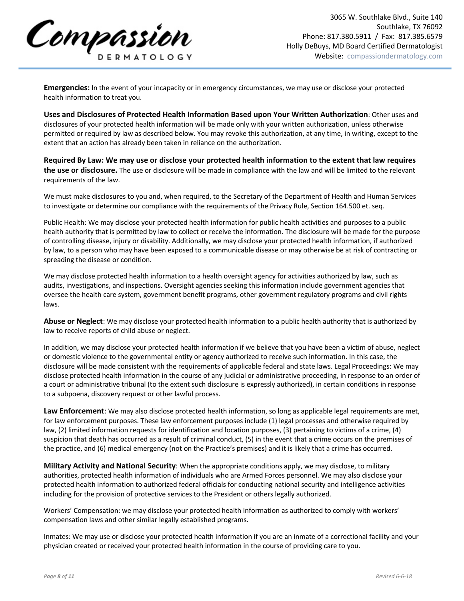

**Emergencies:** In the event of your incapacity or in emergency circumstances, we may use or disclose your protected health information to treat you.

**Uses and Disclosures of Protected Health Information Based upon Your Written Authorization**: Other uses and disclosures of your protected health information will be made only with your written authorization, unless otherwise permitted or required by law as described below. You may revoke this authorization, at any time, in writing, except to the extent that an action has already been taken in reliance on the authorization.

**Required By Law: We may use or disclose your protected health information to the extent that law requires the use or disclosure.** The use or disclosure will be made in compliance with the law and will be limited to the relevant requirements of the law.

We must make disclosures to you and, when required, to the Secretary of the Department of Health and Human Services to investigate or determine our compliance with the requirements of the Privacy Rule, Section 164.500 et. seq.

Public Health: We may disclose your protected health information for public health activities and purposes to a public health authority that is permitted by law to collect or receive the information. The disclosure will be made for the purpose of controlling disease, injury or disability. Additionally, we may disclose your protected health information, if authorized by law, to a person who may have been exposed to a communicable disease or may otherwise be at risk of contracting or spreading the disease or condition.

We may disclose protected health information to a health oversight agency for activities authorized by law, such as audits, investigations, and inspections. Oversight agencies seeking this information include government agencies that oversee the health care system, government benefit programs, other government regulatory programs and civil rights laws.

**Abuse or Neglect**: We may disclose your protected health information to a public health authority that is authorized by law to receive reports of child abuse or neglect.

In addition, we may disclose your protected health information if we believe that you have been a victim of abuse, neglect or domestic violence to the governmental entity or agency authorized to receive such information. In this case, the disclosure will be made consistent with the requirements of applicable federal and state laws. Legal Proceedings: We may disclose protected health information in the course of any judicial or administrative proceeding, in response to an order of a court or administrative tribunal (to the extent such disclosure is expressly authorized), in certain conditions in response to a subpoena, discovery request or other lawful process.

**Law Enforcement**: We may also disclose protected health information, so long as applicable legal requirements are met, for law enforcement purposes. These law enforcement purposes include (1) legal processes and otherwise required by law, (2) limited information requests for identification and location purposes, (3) pertaining to victims of a crime, (4) suspicion that death has occurred as a result of criminal conduct, (5) in the event that a crime occurs on the premises of the practice, and (6) medical emergency (not on the Practice's premises) and it is likely that a crime has occurred.

**Military Activity and National Security**: When the appropriate conditions apply, we may disclose, to military authorities, protected health information of individuals who are Armed Forces personnel. We may also disclose your protected health information to authorized federal officials for conducting national security and intelligence activities including for the provision of protective services to the President or others legally authorized.

Workers' Compensation: we may disclose your protected health information as authorized to comply with workers' compensation laws and other similar legally established programs.

Inmates: We may use or disclose your protected health information if you are an inmate of a correctional facility and your physician created or received your protected health information in the course of providing care to you.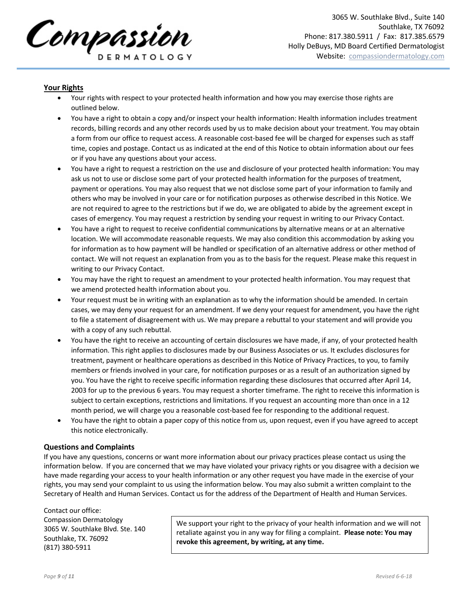

## **Your Rights**

- Your rights with respect to your protected health information and how you may exercise those rights are outlined below.
- You have a right to obtain a copy and/or inspect your health information: Health information includes treatment records, billing records and any other records used by us to make decision about your treatment. You may obtain a form from our office to request access. A reasonable cost-based fee will be charged for expenses such as staff time, copies and postage. Contact us as indicated at the end of this Notice to obtain information about our fees or if you have any questions about your access.
- You have a right to request a restriction on the use and disclosure of your protected health information: You may ask us not to use or disclose some part of your protected health information for the purposes of treatment, payment or operations. You may also request that we not disclose some part of your information to family and others who may be involved in your care or for notification purposes as otherwise described in this Notice. We are not required to agree to the restrictions but if we do, we are obligated to abide by the agreement except in cases of emergency. You may request a restriction by sending your request in writing to our Privacy Contact.
- You have a right to request to receive confidential communications by alternative means or at an alternative location. We will accommodate reasonable requests. We may also condition this accommodation by asking you for information as to how payment will be handled or specification of an alternative address or other method of contact. We will not request an explanation from you as to the basis for the request. Please make this request in writing to our Privacy Contact.
- You may have the right to request an amendment to your protected health information. You may request that we amend protected health information about you.
- Your request must be in writing with an explanation as to why the information should be amended. In certain cases, we may deny your request for an amendment. If we deny your request for amendment, you have the right to file a statement of disagreement with us. We may prepare a rebuttal to your statement and will provide you with a copy of any such rebuttal.
- You have the right to receive an accounting of certain disclosures we have made, if any, of your protected health information. This right applies to disclosures made by our Business Associates or us. It excludes disclosures for treatment, payment or healthcare operations as described in this Notice of Privacy Practices, to you, to family members or friends involved in your care, for notification purposes or as a result of an authorization signed by you. You have the right to receive specific information regarding these disclosures that occurred after April 14, 2003 for up to the previous 6 years. You may request a shorter timeframe. The right to receive this information is subject to certain exceptions, restrictions and limitations. If you request an accounting more than once in a 12 month period, we will charge you a reasonable cost-based fee for responding to the additional request.
- You have the right to obtain a paper copy of this notice from us, upon request, even if you have agreed to accept this notice electronically.

#### **Questions and Complaints**

If you have any questions, concerns or want more information about our privacy practices please contact us using the information below. If you are concerned that we may have violated your privacy rights or you disagree with a decision we have made regarding your access to your health information or any other request you have made in the exercise of your rights, you may send your complaint to us using the information below. You may also submit a written complaint to the Secretary of Health and Human Services. Contact us for the address of the Department of Health and Human Services.

Contact our office: Compassion Dermatology 3065 W. Southlake Blvd. Ste. 140 Southlake, TX. 76092 (817) 380-5911

We support your right to the privacy of your health information and we will not retaliate against you in any way for filing a complaint. **Please note: You may revoke this agreement, by writing, at any time.**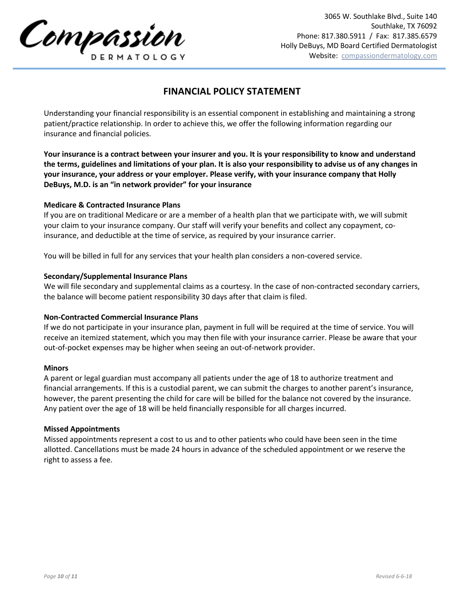

# **FINANCIAL POLICY STATEMENT**

Understanding your financial responsibility is an essential component in establishing and maintaining a strong patient/practice relationship. In order to achieve this, we offer the following information regarding our insurance and financial policies.

**Your insurance is a contract between your insurer and you. It is your responsibility to know and understand the terms, guidelines and limitations of your plan. It is also your responsibility to advise us of any changes in your insurance, your address or your employer. Please verify, with your insurance company that Holly DeBuys, M.D. is an "in network provider" for your insurance**

# **Medicare & Contracted Insurance Plans**

If you are on traditional Medicare or are a member of a health plan that we participate with, we will submit your claim to your insurance company. Our staff will verify your benefits and collect any copayment, coinsurance, and deductible at the time of service, as required by your insurance carrier.

You will be billed in full for any services that your health plan considers a non-covered service.

## **Secondary/Supplemental Insurance Plans**

We will file secondary and supplemental claims as a courtesy. In the case of non-contracted secondary carriers, the balance will become patient responsibility 30 days after that claim is filed.

# **Non-Contracted Commercial Insurance Plans**

If we do not participate in your insurance plan, payment in full will be required at the time of service. You will receive an itemized statement, which you may then file with your insurance carrier. Please be aware that your out-of-pocket expenses may be higher when seeing an out-of-network provider.

## **Minors**

A parent or legal guardian must accompany all patients under the age of 18 to authorize treatment and financial arrangements. If this is a custodial parent, we can submit the charges to another parent's insurance, however, the parent presenting the child for care will be billed for the balance not covered by the insurance. Any patient over the age of 18 will be held financially responsible for all charges incurred.

## **Missed Appointments**

Missed appointments represent a cost to us and to other patients who could have been seen in the time allotted. Cancellations must be made 24 hours in advance of the scheduled appointment or we reserve the right to assess a fee.